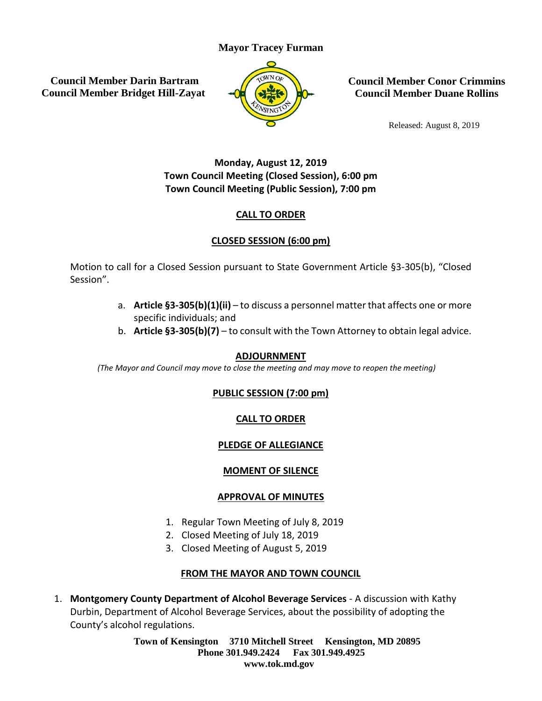## **Mayor Tracey Furman**

**Council Member Darin Bartram Council Member Bridget Hill-Zayat**



**Council Member Conor Crimmins Council Member Duane Rollins**

Released: August 8, 2019

# **Monday, August 12, 2019 Town Council Meeting (Closed Session), 6:00 pm Town Council Meeting (Public Session), 7:00 pm**

## **CALL TO ORDER**

## **CLOSED SESSION (6:00 pm)**

Motion to call for a Closed Session pursuant to State Government Article §3-305(b), "Closed Session".

- a. **Article §3-305(b)(1)(ii)** to discuss a personnel matter that affects one or more specific individuals; and
- b. **Article §3-305(b)(7)** to consult with the Town Attorney to obtain legal advice.

#### **ADJOURNMENT**

*(The Mayor and Council may move to close the meeting and may move to reopen the meeting)*

## **PUBLIC SESSION (7:00 pm)**

## **CALL TO ORDER**

## **PLEDGE OF ALLEGIANCE**

## **MOMENT OF SILENCE**

## **APPROVAL OF MINUTES**

- 1. Regular Town Meeting of July 8, 2019
- 2. Closed Meeting of July 18, 2019
- 3. Closed Meeting of August 5, 2019

# **FROM THE MAYOR AND TOWN COUNCIL**

1. **Montgomery County Department of Alcohol Beverage Services** - A discussion with Kathy Durbin, Department of Alcohol Beverage Services, about the possibility of adopting the County's alcohol regulations.

> **Town of Kensington 3710 Mitchell Street Kensington, MD 20895 Phone 301.949.2424 Fax 301.949.4925 www.tok.md.gov**